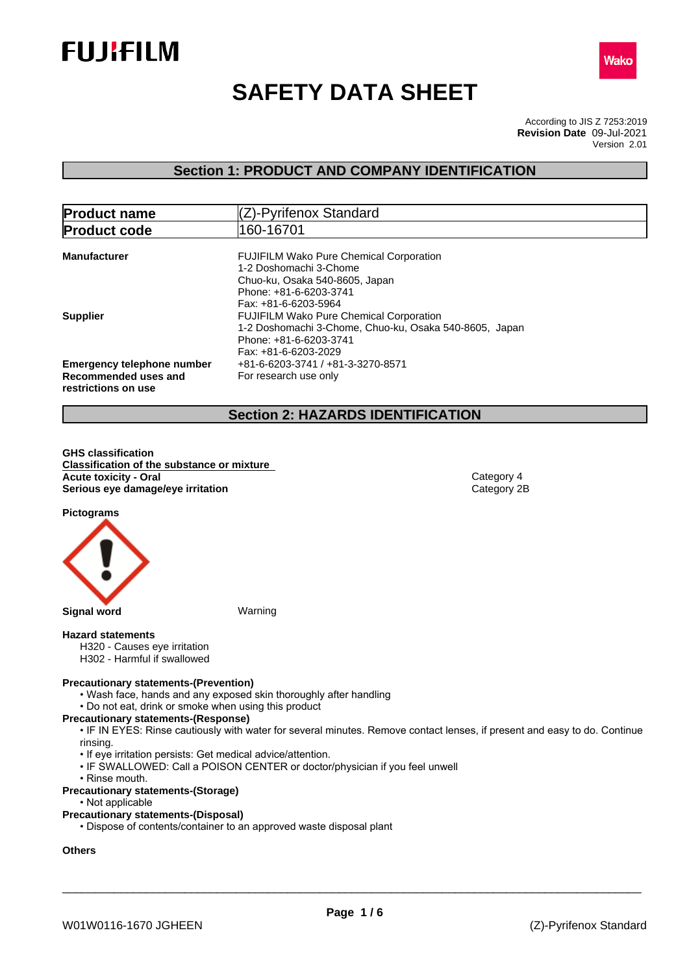



# **SAFETY DATA SHEET**

According to JIS Z 7253:2019 Version 2.01 **Revision Date** 09-Jul-2021

## **Section 1: PRODUCT AND COMPANY IDENTIFICATION**

| <b>Product name</b>                                                              | (Z)-Pyrifenox Standard                                                                                                                                       |  |  |
|----------------------------------------------------------------------------------|--------------------------------------------------------------------------------------------------------------------------------------------------------------|--|--|
| <b>Product code</b>                                                              | 160-16701                                                                                                                                                    |  |  |
| <b>Manufacturer</b>                                                              | <b>FUJIFILM Wako Pure Chemical Corporation</b><br>1-2 Doshomachi 3-Chome<br>Chuo-ku, Osaka 540-8605, Japan<br>Phone: +81-6-6203-3741<br>Fax: +81-6-6203-5964 |  |  |
| <b>Supplier</b>                                                                  | <b>FUJIFILM Wako Pure Chemical Corporation</b><br>1-2 Doshomachi 3-Chome, Chuo-ku, Osaka 540-8605, Japan<br>Phone: +81-6-6203-3741<br>Fax: +81-6-6203-2029   |  |  |
| <b>Emergency telephone number</b><br>Recommended uses and<br>restrictions on use | +81-6-6203-3741 / +81-3-3270-8571<br>For research use only                                                                                                   |  |  |

## **Section 2: HAZARDS IDENTIFICATION**

**GHS classification Classification of the substance or mixture Acute toxicity - Oral Category 4**<br> **Serious eye damage/eye irritation**<br>
Category 2B **Serious** eye damage/eye irritation

**Pictograms**



#### **Hazard statements**

- H320 Causes eye irritation
- H302 Harmful if swallowed

#### **Precautionary statements-(Prevention)**

- Wash face, hands and any exposed skin thoroughly after handling
- Do not eat, drink or smoke when using this product

#### **Precautionary statements-(Response)**

• IF IN EYES: Rinse cautiously with water for several minutes. Remove contact lenses, if present and easy to do. Continue rinsing.

- If eye irritation persists: Get medical advice/attention.
- IF SWALLOWED: Call a POISON CENTER or doctor/physician if you feel unwell
- Rinse mouth.
- **Precautionary statements-(Storage)**
	- Not applicable

#### **Precautionary statements-(Disposal)**

• Dispose of contents/container to an approved waste disposal plant

## **Others**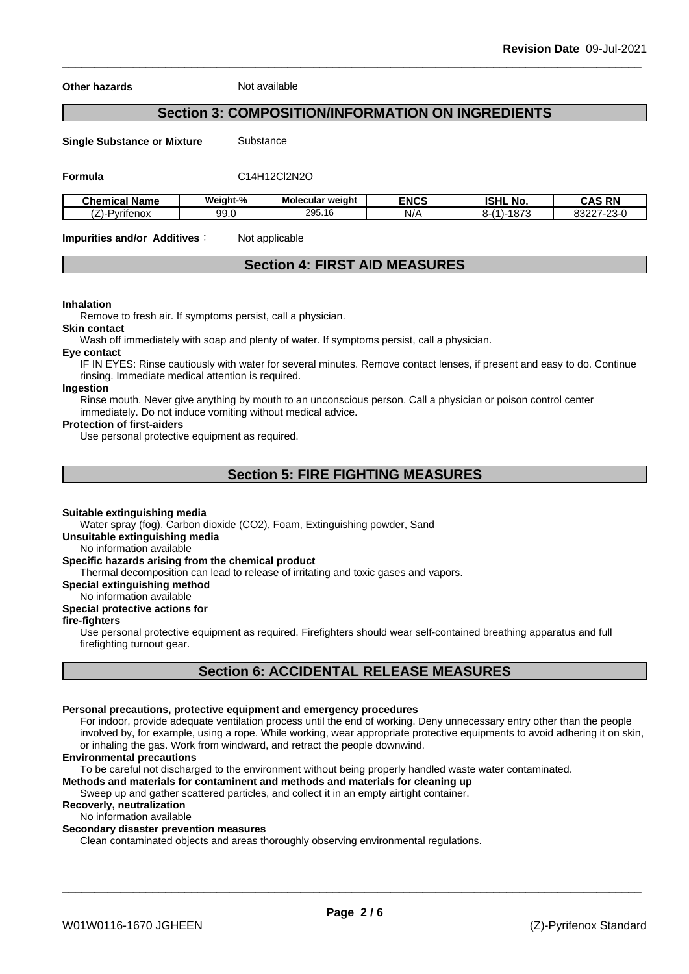**Other hazards** Not available

## **Section 3: COMPOSITION/INFORMATION ON INGREDIENTS**

**Single Substance or Mixture** Substance

**Formula** C14H12Cl2N2O

| Chemical<br>. .<br>' Name      | Weight-%    | <b>Molecular weight</b> | <b>ENCS</b> | <b>ISHL No.</b>                                                | <b>CAS RN</b><br>CAS<br>-n r                       |
|--------------------------------|-------------|-------------------------|-------------|----------------------------------------------------------------|----------------------------------------------------|
| -<br>--<br>Pvritenox<br>$\sim$ | aa.<br>ບບ.ບ | 295.16                  | N/A         | 1070<br>$\overline{14}$<br>∼-<br>$\overline{ }$<br>$\sim$<br>. | $\sim$ $\sim$<br>00007<br>' - / ¬- 1<br>332Z<br>-w |

**Impurities and/or Additives**: Not applicable

## **Section 4: FIRST AID MEASURES**

#### **Inhalation**

Remove to fresh air. If symptoms persist, call a physician.

#### **Skin contact**

Wash off immediately with soap and plenty of water. If symptoms persist, calla physician.

#### **Eye contact**

IF IN EYES: Rinse cautiously with water for several minutes. Remove contact lenses, if present and easy to do. Continue rinsing. Immediate medical attention is required.

#### **Ingestion**

Rinse mouth. Never give anything by mouth to an unconscious person. Call a physician or poison control center immediately. Do not induce vomiting without medical advice.

#### **Protection of first-aiders**

Use personal protective equipment as required.

## **Section 5: FIRE FIGHTING MEASURES**

#### **Suitable extinguishing media**

Water spray (fog), Carbon dioxide (CO2), Foam, Extinguishing powder, Sand

**Unsuitable extinguishing media**

No information available

#### **Specific hazards arising from the chemical product**

Thermal decomposition can lead to release of irritating and toxic gases and vapors.

**Special extinguishing method**

#### No information available

**Special protective actions for**

#### **fire-fighters**

Use personal protective equipment as required.Firefighters should wear self-contained breathing apparatus and full firefighting turnout gear.

## **Section 6: ACCIDENTAL RELEASE MEASURES**

#### **Personal precautions, protective equipment and emergency procedures**

For indoor, provide adequate ventilation process until the end of working. Deny unnecessary entry other than the people involved by, for example, using a rope. While working, wear appropriate protective equipments to avoid adhering it on skin, or inhaling the gas. Work from windward, and retract the people downwind.

#### **Environmental precautions**

To be careful not discharged to the environment without being properly handled waste water contaminated.

**Methods and materials for contaminent and methods and materials for cleaning up**

Sweep up and gather scattered particles, and collect it in an empty airtight container.

## **Recoverly, neutralization**

No information available

### **Secondary disaster prevention measures**

Clean contaminated objects and areas thoroughly observing environmental regulations.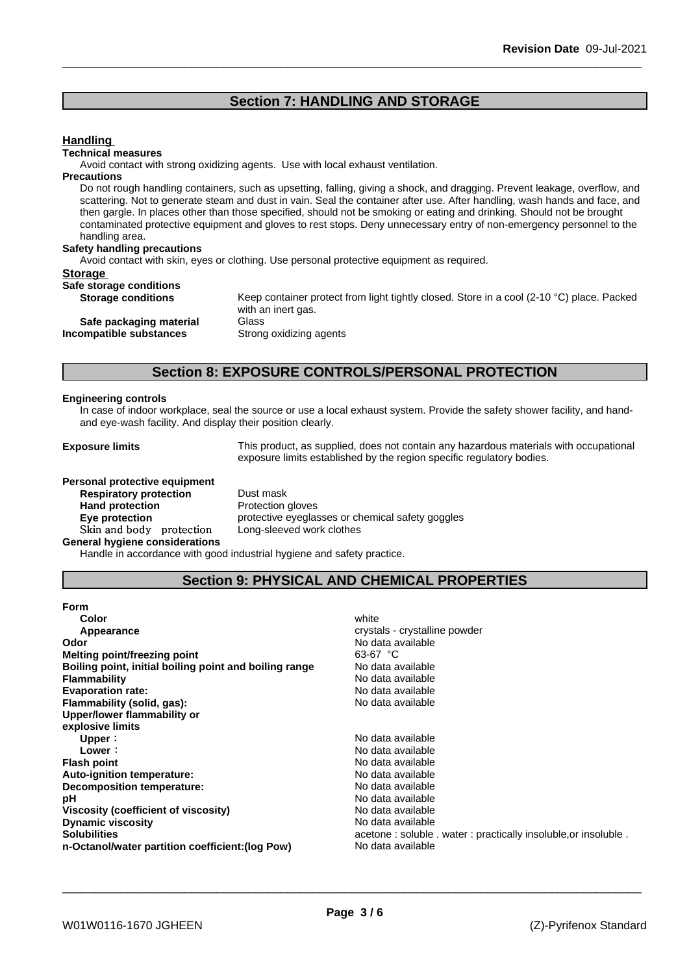## **Section 7: HANDLING AND STORAGE**

| <b>Handling</b>                    |                                                                                                                                                                                                                                                                                                                                                                                                                                                                                                            |
|------------------------------------|------------------------------------------------------------------------------------------------------------------------------------------------------------------------------------------------------------------------------------------------------------------------------------------------------------------------------------------------------------------------------------------------------------------------------------------------------------------------------------------------------------|
| <b>Technical measures</b>          |                                                                                                                                                                                                                                                                                                                                                                                                                                                                                                            |
|                                    | Avoid contact with strong oxidizing agents. Use with local exhaust ventilation.                                                                                                                                                                                                                                                                                                                                                                                                                            |
| <b>Precautions</b>                 |                                                                                                                                                                                                                                                                                                                                                                                                                                                                                                            |
| handling area.                     | Do not rough handling containers, such as upsetting, falling, giving a shock, and dragging. Prevent leakage, overflow, and<br>scattering. Not to generate steam and dust in vain. Seal the container after use. After handling, wash hands and face, and<br>then gargle. In places other than those specified, should not be smoking or eating and drinking. Should not be brought<br>contaminated protective equipment and gloves to rest stops. Deny unnecessary entry of non-emergency personnel to the |
| <b>Safety handling precautions</b> |                                                                                                                                                                                                                                                                                                                                                                                                                                                                                                            |
|                                    | Avoid contact with skin, eyes or clothing. Use personal protective equipment as required.                                                                                                                                                                                                                                                                                                                                                                                                                  |
| <b>Storage</b>                     |                                                                                                                                                                                                                                                                                                                                                                                                                                                                                                            |
| Safe storage conditions            |                                                                                                                                                                                                                                                                                                                                                                                                                                                                                                            |
| <b>Storage conditions</b>          | Keep container protect from light tightly closed. Store in a cool (2-10 °C) place. Packed<br>with an inert gas.                                                                                                                                                                                                                                                                                                                                                                                            |
| Safe packaging material            | Glass                                                                                                                                                                                                                                                                                                                                                                                                                                                                                                      |
| Incompatible substances            | Strong oxidizing agents                                                                                                                                                                                                                                                                                                                                                                                                                                                                                    |

## **Section 8: EXPOSURE CONTROLS/PERSONAL PROTECTION**

#### **Engineering controls**

In case of indoor workplace, seal the source or use a local exhaust system. Provide the safety shower facility, and handand eye-wash facility. And display their position clearly.

**Exposure limits** This product, as supplied, does not contain any hazardous materials with occupational exposure limits established by the region specific regulatory bodies.

# **Personal protective equipment**<br>**Respiratory protection** Dust mask

**Respiratory** protection **Hand protection** Protection gloves **Skinandbody protection** Long-sleeved work clothes **General hygiene considerations**

**Eye protection Eye protective** eyeglasses or chemical safety goggles

Handle in accordance with good industrial hygiene and safety practice.

## **Section 9: PHYSICAL AND CHEMICAL PROPERTIES**

| <b>Form</b>                                            |                                                                |
|--------------------------------------------------------|----------------------------------------------------------------|
| Color                                                  | white                                                          |
| Appearance                                             | crystals - crystalline powder                                  |
| Odor                                                   | No data available                                              |
| Melting point/freezing point                           | 63-67 °C                                                       |
| Boiling point, initial boiling point and boiling range | No data available                                              |
| <b>Flammability</b>                                    | No data available                                              |
| <b>Evaporation rate:</b>                               | No data available                                              |
| Flammability (solid, gas):                             | No data available                                              |
| Upper/lower flammability or                            |                                                                |
| explosive limits                                       |                                                                |
| Upper:                                                 | No data available                                              |
| Lower:                                                 | No data available                                              |
| <b>Flash point</b>                                     | No data available                                              |
| Auto-ignition temperature:                             | No data available                                              |
| Decomposition temperature:                             | No data available                                              |
| рH                                                     | No data available                                              |
| Viscosity (coefficient of viscosity)                   | No data available                                              |
| <b>Dynamic viscosity</b>                               | No data available                                              |
| <b>Solubilities</b>                                    | acetone: soluble . water: practically insoluble, or insoluble. |
| n-Octanol/water partition coefficient: (log Pow)       | No data available                                              |
|                                                        |                                                                |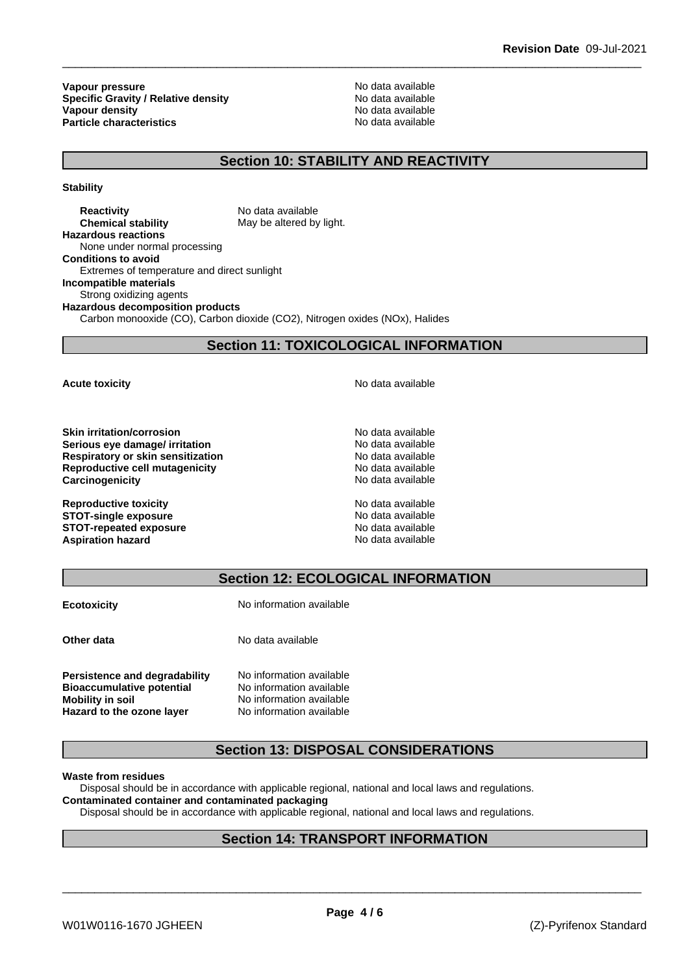**Vapour pressure**<br> **Specific Gravity / Relative density**<br> **Specific Gravity / Relative density**<br> **No data available Specific Gravity / Relative density and the Specific Gravity / Relative density No data available Vapour density Vapour density Particle characteristics** No data available

## **Section 10: STABILITY AND REACTIVITY**

**Stability**

**Reactivity** No data available **Chemical stability** May be altered by light. **Hazardous reactions** None under normal processing **Conditions to avoid** Extremes of temperature and direct sunlight **Incompatible materials** Strong oxidizing agents **Hazardous decomposition products** Carbon monooxide (CO), Carbon dioxide (CO2), Nitrogen oxides (NOx), Halides

**Section 11: TOXICOLOGICAL INFORMATION**

**Skin irritation/corrosion** No data available **Serious eye damage/ irritation No data available Respiratory or skin sensitization** No data available **Reproductive cell mutagenicity** No data available **Carcinogenicity Carcinogenicity No data available** 

**Reproductive toxicity** No data available **STOT-single exposure**  $\qquad \qquad \text{No data available}$ **STOT-repeated exposure**<br> **Aspiration hazard**<br> **Aspiration hazard**<br> **Aspiration hazard Aspiration hazard** 

**Acute toxicity Acute toxicity Acute has available No data available** 

## **Section 12: ECOLOGICAL INFORMATION**

| <b>Ecotoxicity</b>               | No information available |
|----------------------------------|--------------------------|
| Other data                       | No data available        |
| Persistence and degradability    | No information available |
| <b>Bioaccumulative potential</b> | No information available |
| <b>Mobility in soil</b>          | No information available |
| Hazard to the ozone layer        | No information available |

## **Section 13: DISPOSAL CONSIDERATIONS**

#### **Waste from residues**

Disposal should be in accordance with applicable regional, national and local laws and regulations. **Contaminated container and contaminated packaging**

Disposal should be in accordance with applicable regional, national and local laws and regulations.

## **Section 14: TRANSPORT INFORMATION**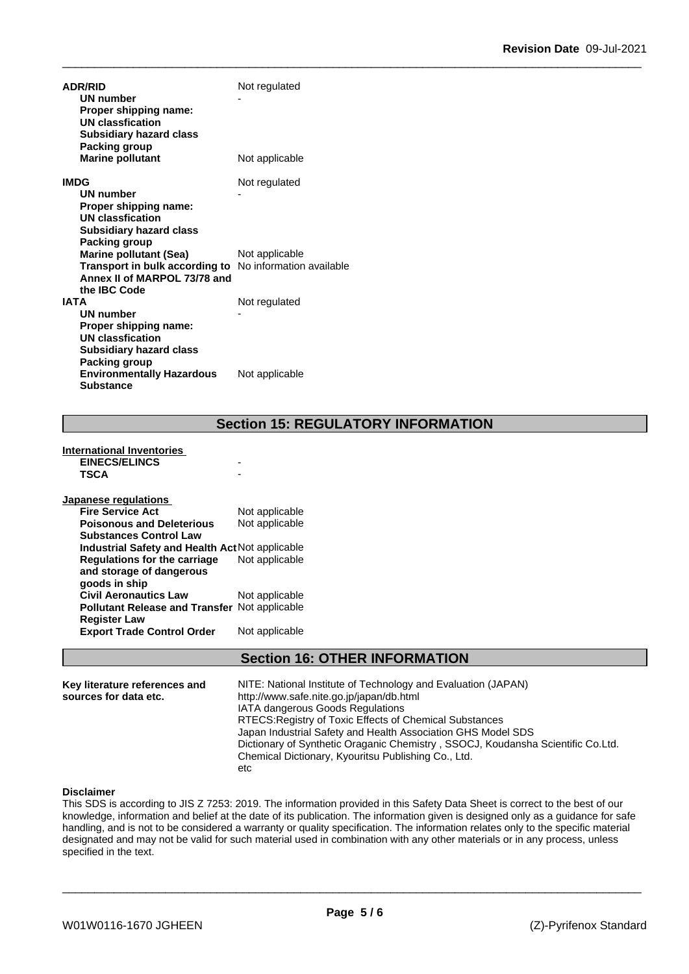| <b>ADR/RID</b><br>UN number<br>Proper shipping name:<br><b>UN classfication</b><br><b>Subsidiary hazard class</b><br>Packing group                     | Not regulated  |
|--------------------------------------------------------------------------------------------------------------------------------------------------------|----------------|
| <b>Marine pollutant</b>                                                                                                                                | Not applicable |
| <b>IMDG</b><br>UN number<br>Proper shipping name:<br><b>UN classfication</b><br><b>Subsidiary hazard class</b><br>Packing group                        | Not regulated  |
| <b>Marine pollutant (Sea)</b><br><b>Transport in bulk according to</b> No information available<br>Annex II of MARPOL 73/78 and<br>the <b>IBC</b> Code | Not applicable |
| <b>IATA</b><br><b>UN number</b><br>Proper shipping name:<br><b>UN classfication</b><br><b>Subsidiary hazard class</b><br>Packing group                 | Not regulated  |
| <b>Environmentally Hazardous</b><br><b>Substance</b>                                                                                                   | Not applicable |

## **Section 15: REGULATORY INFORMATION**

#### **International Inventories EINECS/ELINCS** - **TSCA** -

| Not applicable                                       |
|------------------------------------------------------|
| Not applicable                                       |
|                                                      |
| Industrial Safety and Health Act Not applicable      |
| Not applicable                                       |
|                                                      |
|                                                      |
| Not applicable                                       |
| <b>Pollutant Release and Transfer Not applicable</b> |
|                                                      |
| Not applicable                                       |
|                                                      |

## **Section 16: OTHER INFORMATION**

| Key literature references and<br>sources for data etc. | NITE: National Institute of Technology and Evaluation (JAPAN)<br>http://www.safe.nite.go.jp/japan/db.html<br><b>IATA dangerous Goods Regulations</b><br>RTECS: Registry of Toxic Effects of Chemical Substances<br>Japan Industrial Safety and Health Association GHS Model SDS<br>Dictionary of Synthetic Oraganic Chemistry, SSOCJ, Koudansha Scientific Co.Ltd. |  |
|--------------------------------------------------------|--------------------------------------------------------------------------------------------------------------------------------------------------------------------------------------------------------------------------------------------------------------------------------------------------------------------------------------------------------------------|--|
|                                                        | Chemical Dictionary, Kyouritsu Publishing Co., Ltd.<br>etc                                                                                                                                                                                                                                                                                                         |  |

#### **Disclaimer**

This SDS is according to JIS Z 7253: 2019. The information provided in this Safety Data Sheet is correct to the best of our knowledge, information and belief at the date of its publication. The information given is designed only as a guidance for safe handling, and is not to be considered a warranty or quality specification. The information relates only to the specific material designated and may not be valid for such material used in combination with any other materials or in any process, unless specified in the text.